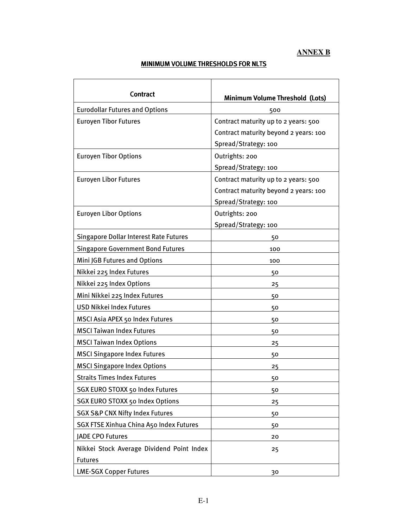#### **ANNEX B**

<u> 1989 - Johann Barnett, fransk politiker (</u>

## MINIMUM VOLUME THRESHOLDS FOR NLTS

| <b>Contract</b>                                             | Minimum Volume Threshold (Lots)                                                                       |
|-------------------------------------------------------------|-------------------------------------------------------------------------------------------------------|
| <b>Eurodollar Futures and Options</b>                       | 500                                                                                                   |
| <b>Euroyen Tibor Futures</b>                                | Contract maturity up to 2 years: 500<br>Contract maturity beyond 2 years: 100<br>Spread/Strategy: 100 |
| <b>Euroyen Tibor Options</b>                                | Outrights: 200<br>Spread/Strategy: 100                                                                |
| <b>Euroyen Libor Futures</b>                                | Contract maturity up to 2 years: 500<br>Contract maturity beyond 2 years: 100<br>Spread/Strategy: 100 |
| <b>Euroyen Libor Options</b>                                | Outrights: 200<br>Spread/Strategy: 100                                                                |
| <b>Singapore Dollar Interest Rate Futures</b>               | 50                                                                                                    |
| <b>Singapore Government Bond Futures</b>                    | 100                                                                                                   |
| Mini JGB Futures and Options                                | 100                                                                                                   |
| Nikkei 225 Index Futures                                    | 50                                                                                                    |
| Nikkei 225 Index Options                                    | 25                                                                                                    |
| Mini Nikkei 225 Index Futures                               | 50                                                                                                    |
| <b>USD Nikkei Index Futures</b>                             | 50                                                                                                    |
| MSCI Asia APEX 50 Index Futures                             | 50                                                                                                    |
| <b>MSCI Taiwan Index Futures</b>                            | 50                                                                                                    |
| <b>MSCI Taiwan Index Options</b>                            | 25                                                                                                    |
| <b>MSCI Singapore Index Futures</b>                         | 50                                                                                                    |
| <b>MSCI Singapore Index Options</b>                         | 25                                                                                                    |
| <b>Straits Times Index Futures</b>                          | 50                                                                                                    |
| SGX EURO STOXX 50 Index Futures                             | 50                                                                                                    |
| <b>SGX EURO STOXX 50 Index Options</b>                      | 25                                                                                                    |
| <b>SGX S&amp;P CNX Nifty Index Futures</b>                  | 50                                                                                                    |
| SGX FTSE Xinhua China A50 Index Futures                     | 50                                                                                                    |
| JADE CPO Futures                                            | 20                                                                                                    |
| Nikkei Stock Average Dividend Point Index<br><b>Futures</b> | 25                                                                                                    |
| <b>LME-SGX Copper Futures</b>                               | 30                                                                                                    |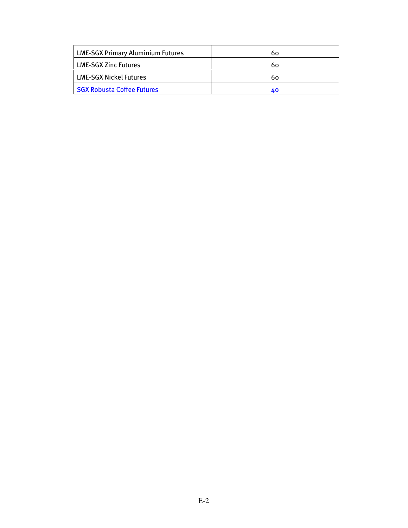| 60       |
|----------|
|          |
|          |
| 60<br>40 |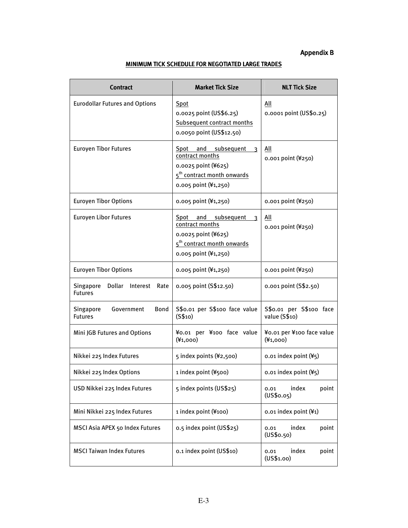### Appendix B

| <b>Contract</b>                                           | <b>Market Tick Size</b>                                                                                                                                    | <b>NLT Tick Size</b>                     |
|-----------------------------------------------------------|------------------------------------------------------------------------------------------------------------------------------------------------------------|------------------------------------------|
| <b>Eurodollar Futures and Options</b>                     | Spot<br>0.0025 point (US\$6.25)<br><b>Subsequent contract months</b><br>0.0050 point (US\$12.50)                                                           | All<br>0.0001 point (US\$0.25)           |
| <b>Euroyen Tibor Futures</b>                              | Spot and subsequent<br>$\overline{\mathbf{3}}$<br>contract months<br>0.0025 point (¥625)<br>5 <sup>th</sup> contract month onwards<br>0.005 point (¥1,250) | All<br>0.001 point (¥250)                |
| <b>Euroyen Tibor Options</b>                              | 0.005 point (¥1,250)                                                                                                                                       | 0.001 point (¥250)                       |
| <b>Euroyen Libor Futures</b>                              | Spot and subsequent<br>3<br>contract months<br>0.0025 point (¥625)<br>5 <sup>th</sup> contract month onwards<br>0.005 point (¥1,250)                       | All<br>0.001 point (¥250)                |
| <b>Euroyen Tibor Options</b>                              | 0.005 point (¥1,250)                                                                                                                                       | 0.001 point (¥250)                       |
| Dollar<br>Singapore<br>Interest<br>Rate<br><b>Futures</b> | 0.005 point (S\$12.50)                                                                                                                                     | 0.001 point (S\$2.50)                    |
| Singapore<br><b>Bond</b><br>Government<br><b>Futures</b>  | S\$0.01 per S\$100 face value<br>(S\$10)                                                                                                                   | S\$0.01 per S\$100 face<br>value (S\$10) |
| Mini JGB Futures and Options                              | ¥0.01 per ¥100 face value<br>$(*1,000)$                                                                                                                    | ¥0.01 per ¥100 face value<br>$(*1,000)$  |
| Nikkei 225 Index Futures                                  | 5 index points (¥2,500)                                                                                                                                    | 0.01 index point (¥5)                    |
| Nikkei 225 Index Options                                  | 1 index point (¥500)                                                                                                                                       | $0.01$ index point $(45)$                |
| USD Nikkei 225 Index Futures                              | 5 index points (US\$25)                                                                                                                                    | index<br>point<br>0.01<br>(US\$0.05)     |
| Mini Nikkei 225 Index Futures                             | 1 index point (¥100)                                                                                                                                       | 0.01 index point (¥1)                    |
| MSCI Asia APEX 50 Index Futures                           | 0.5 index point (US\$25)                                                                                                                                   | index<br>point<br>0.01<br>(US\$o.50)     |
| <b>MSCI Taiwan Index Futures</b>                          | 0.1 index point (US\$10)                                                                                                                                   | index<br>point<br>0.01<br>(US\$1.00)     |

### MINIMUM TICK SCHEDULE FOR NEGOTIATED LARGE TRADES